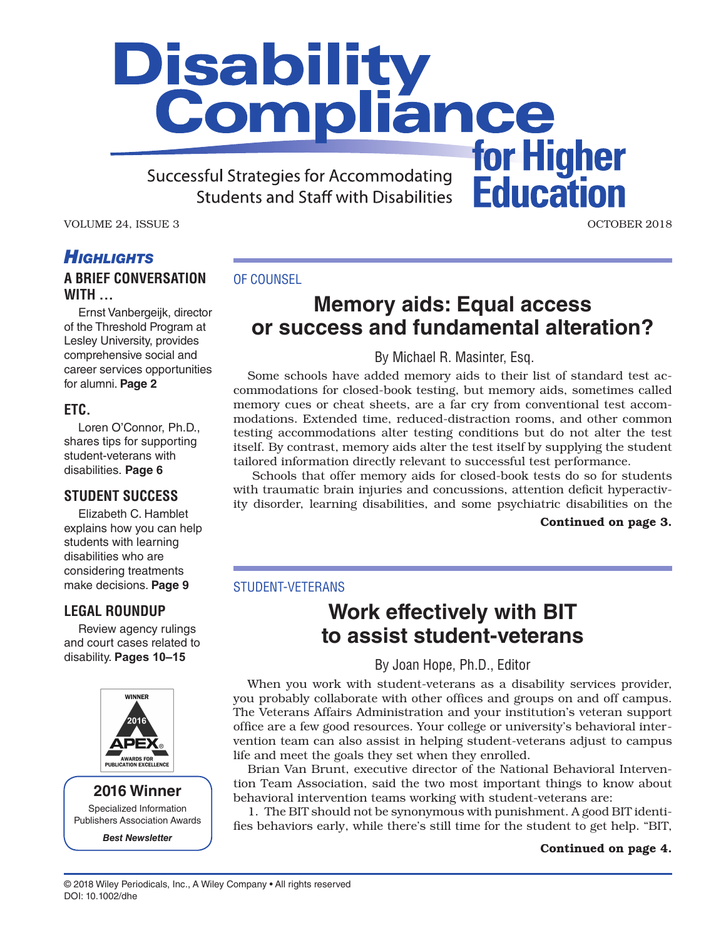# **Disability<br>Compliance** for Higher

**Successful Strategies for Accommodating Students and Staff with Disabilities** 

VOLUME 24, ISSUE 3 OCTOBER 2018

**Education** 

# *Highlights*

# **A BRIEF CONVERSATION WITH ...**

Ernst Vanbergeijk, director of the Threshold Program at Lesley University, provides comprehensive social and career services opportunities for alumni. **Page 2**

### **ETC.**

Loren O'Connor, Ph.D., shares tips for supporting student-veterans with disabilities. **Page 6**

## **STUDENT SUCCESS**

Elizabeth C. Hamblet explains how you can help students with learning disabilities who are considering treatments make decisions. **Page 9**

## **LEGAL ROUNDUP**

Review agency rulings and court cases related to disability. **Pages 10–15**



**2016 Winner** Specialized Information Publishers Association Awards

*Best Newsletter*

#### OF COUNSEL

# **Memory aids: Equal access or success and fundamental alteration?**

By Michael R. Masinter, Esq.

Some schools have added memory aids to their list of standard test accommodations for closed-book testing, but memory aids, sometimes called memory cues or cheat sheets, are a far cry from conventional test accommodations. Extended time, reduced-distraction rooms, and other common testing accommodations alter testing conditions but do not alter the test itself. By contrast, memory aids alter the test itself by supplying the student tailored information directly relevant to successful test performance.

 Schools that offer memory aids for closed-book tests do so for students with traumatic brain injuries and concussions, attention deficit hyperactivity disorder, learning disabilities, and some psychiatric disabilities on the

#### Continued on page 3.

#### STUDENT-VETERANS

# **Work effectively with BIT to assist student-veterans**

By Joan Hope, Ph.D., Editor

When you work with student-veterans as a disability services provider, you probably collaborate with other offices and groups on and off campus. The Veterans Affairs Administration and your institution's veteran support office are a few good resources. Your college or university's behavioral intervention team can also assist in helping student-veterans adjust to campus life and meet the goals they set when they enrolled.

Brian Van Brunt, executive director of the National Behavioral Intervention Team Association, said the two most important things to know about behavioral intervention teams working with student-veterans are:

1. The BIT should not be synonymous with punishment. A good BIT identifies behaviors early, while there's still time for the student to get help. "BIT,

#### Continued on page 4.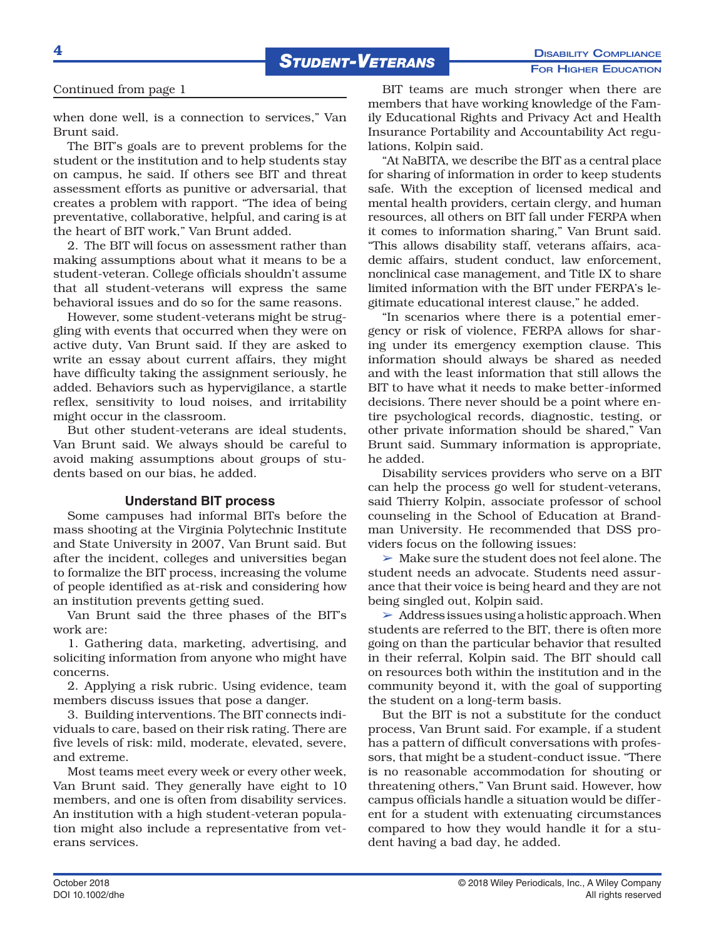#### Continued from page 1

when done well, is a connection to services," Van Brunt said.

The BIT's goals are to prevent problems for the student or the institution and to help students stay on campus, he said. If others see BIT and threat assessment efforts as punitive or adversarial, that creates a problem with rapport. "The idea of being preventative, collaborative, helpful, and caring is at the heart of BIT work," Van Brunt added.

2. The BIT will focus on assessment rather than making assumptions about what it means to be a student-veteran. College officials shouldn't assume that all student-veterans will express the same behavioral issues and do so for the same reasons.

However, some student-veterans might be struggling with events that occurred when they were on active duty, Van Brunt said. If they are asked to write an essay about current affairs, they might have difficulty taking the assignment seriously, he added. Behaviors such as hypervigilance, a startle reflex, sensitivity to loud noises, and irritability might occur in the classroom.

But other student-veterans are ideal students, Van Brunt said. We always should be careful to avoid making assumptions about groups of students based on our bias, he added.

#### **Understand BIT process**

Some campuses had informal BITs before the mass shooting at the Virginia Polytechnic Institute and State University in 2007, Van Brunt said. But after the incident, colleges and universities began to formalize the BIT process, increasing the volume of people identified as at-risk and considering how an institution prevents getting sued.

Van Brunt said the three phases of the BIT's work are:

1. Gathering data, marketing, advertising, and soliciting information from anyone who might have concerns.

2. Applying a risk rubric. Using evidence, team members discuss issues that pose a danger.

3. Building interventions. The BIT connects individuals to care, based on their risk rating. There are five levels of risk: mild, moderate, elevated, severe, and extreme.

Most teams meet every week or every other week, Van Brunt said. They generally have eight to 10 members, and one is often from disability services. An institution with a high student-veteran population might also include a representative from veterans services.

BIT teams are much stronger when there are members that have working knowledge of the Family Educational Rights and Privacy Act and Health Insurance Portability and Accountability Act regulations, Kolpin said.

"At NaBITA, we describe the BIT as a central place for sharing of information in order to keep students safe. With the exception of licensed medical and mental health providers, certain clergy, and human resources, all others on BIT fall under FERPA when it comes to information sharing," Van Brunt said. "This allows disability staff, veterans affairs, academic affairs, student conduct, law enforcement, nonclinical case management, and Title IX to share limited information with the BIT under FERPA's legitimate educational interest clause," he added.

"In scenarios where there is a potential emergency or risk of violence, FERPA allows for sharing under its emergency exemption clause. This information should always be shared as needed and with the least information that still allows the BIT to have what it needs to make better-informed decisions. There never should be a point where entire psychological records, diagnostic, testing, or other private information should be shared," Van Brunt said. Summary information is appropriate, he added.

Disability services providers who serve on a BIT can help the process go well for student-veterans, said Thierry Kolpin, associate professor of school counseling in the School of Education at Brandman University. He recommended that DSS providers focus on the following issues:

➢ Make sure the student does not feel alone. The student needs an advocate. Students need assurance that their voice is being heard and they are not being singled out, Kolpin said.

 $\triangleright$  Address issues using a holistic approach. When students are referred to the BIT, there is often more going on than the particular behavior that resulted in their referral, Kolpin said. The BIT should call on resources both within the institution and in the community beyond it, with the goal of supporting the student on a long-term basis.

But the BIT is not a substitute for the conduct process, Van Brunt said. For example, if a student has a pattern of difficult conversations with professors, that might be a student-conduct issue. "There is no reasonable accommodation for shouting or threatening others," Van Brunt said. However, how campus officials handle a situation would be different for a student with extenuating circumstances compared to how they would handle it for a student having a bad day, he added.